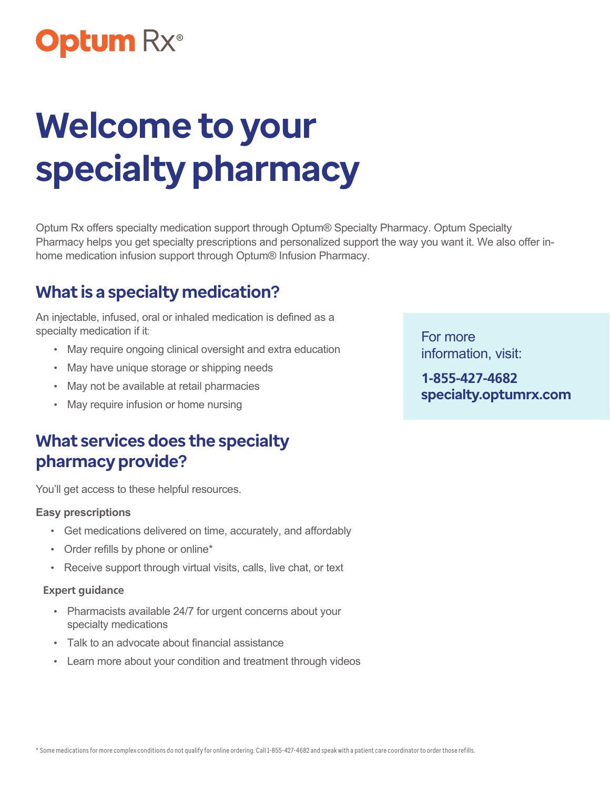## **Optum Rx**®

# **Welcome to your specialty pharmacy**

Optum Rx offers specialty medication support through Optum® Specialty Pharmacy. Optum Specialty Pharmacy helps you get specialty prescriptions and personalized support the way you want it. We also offer inhome medication infusion support through Optum® Infusion Pharmacy.

## **What is a specialty medication?**

An injectable, infused, oral or inhaled medication is defined as a specialty medication if it:

- **•** May require ongoing clinical oversight and extra education
- **•** May have unique storage or shipping needs
- **•** May not be available at retail pharmacies
- **•** May require infusion or home nursing

#### **What services does the specialty pharmacy provide?**

You'll get access to these helpful resources.

#### **Easy prescriptions**

- **•** Get medications delivered on time, accurately, and affordably
- **•** Order refills by phone or online\*
- **•** Receive support through virtual visits, calls, live chat, or text

#### **Expert guidance**

- **•** Pharmacists available 24/7 for urgent concerns about your specialty medications
- **•** Talk to an advocate about financial assistance
- **•** Learn more about your condition and treatment through videos

For more information, visit:

**1-855-427-4682 [specialty.optumrx.com](http://specialty.optumrx.com)**